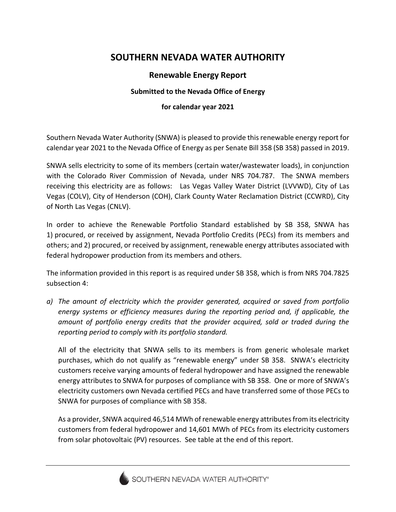## **SOUTHERN NEVADA WATER AUTHORITY**

## **Renewable Energy Report**

## **Submitted to the Nevada Office of Energy**

## **for calendar year 2021**

Southern Nevada Water Authority (SNWA) is pleased to provide this renewable energy report for calendar year 2021 to the Nevada Office of Energy as per Senate Bill 358 (SB 358) passed in 2019.

SNWA sells electricity to some of its members (certain water/wastewater loads), in conjunction with the Colorado River Commission of Nevada, under NRS 704.787. The SNWA members receiving this electricity are as follows: Las Vegas Valley Water District (LVVWD), City of Las Vegas (COLV), City of Henderson (COH), Clark County Water Reclamation District (CCWRD), City of North Las Vegas (CNLV).

In order to achieve the Renewable Portfolio Standard established by SB 358, SNWA has 1) procured, or received by assignment, Nevada Portfolio Credits (PECs) from its members and others; and 2) procured, or received by assignment, renewable energy attributes associated with federal hydropower production from its members and others.

The information provided in this report is as required under SB 358, which is from NRS 704.7825 subsection 4:

*a) The amount of electricity which the provider generated, acquired or saved from portfolio energy systems or efficiency measures during the reporting period and, if applicable, the amount of portfolio energy credits that the provider acquired, sold or traded during the reporting period to comply with its portfolio standard.*

All of the electricity that SNWA sells to its members is from generic wholesale market purchases, which do not qualify as "renewable energy" under SB 358. SNWA's electricity customers receive varying amounts of federal hydropower and have assigned the renewable energy attributes to SNWA for purposes of compliance with SB 358. One or more of SNWA's electricity customers own Nevada certified PECs and have transferred some of those PECs to SNWA for purposes of compliance with SB 358.

As a provider, SNWA acquired 46,514 MWh of renewable energy attributes from its electricity customers from federal hydropower and 14,601 MWh of PECs from its electricity customers from solar photovoltaic (PV) resources. See table at the end of this report.

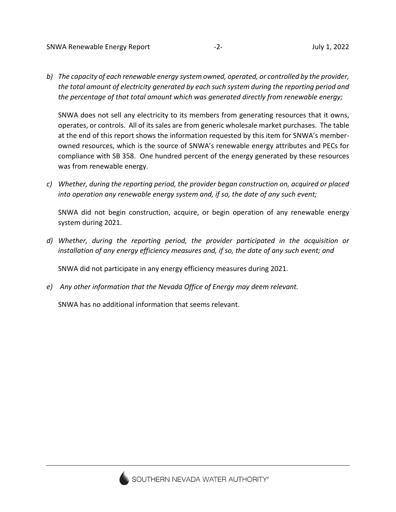*b) The capacity of each renewable energy system owned, operated, or controlled by the provider, the total amount of electricity generated by each such system during the reporting period and the percentage of that total amount which was generated directly from renewable energy;*

SNWA does not sell any electricity to its members from generating resources that it owns, operates, or controls. All of its sales are from generic wholesale market purchases. The table at the end of this report shows the information requested by this item for SNWA's memberowned resources, which is the source of SNWA's renewable energy attributes and PECs for compliance with SB 358. One hundred percent of the energy generated by these resources was from renewable energy.

*c) Whether, during the reporting period, the provider began construction on, acquired or placed into operation any renewable energy system and, if so, the date of any such event;*

SNWA did not begin construction, acquire, or begin operation of any renewable energy system during 2021.

*d) Whether, during the reporting period, the provider participated in the acquisition or installation of any energy efficiency measures and, if so, the date of any such event; and*

SNWA did not participate in any energy efficiency measures during 2021.

*e) Any other information that the Nevada Office of Energy may deem relevant.*

SNWA has no additional information that seems relevant.